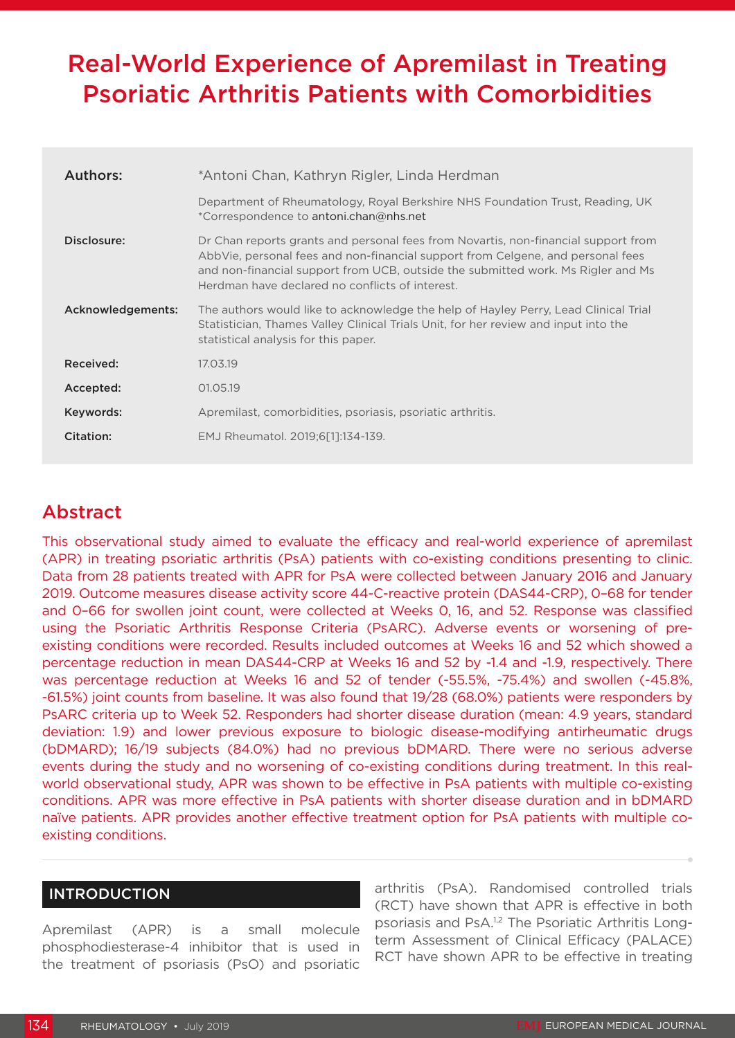# Real-World Experience of Apremilast in Treating Psoriatic Arthritis Patients with Comorbidities

| Authors:          | *Antoni Chan, Kathryn Rigler, Linda Herdman                                                                                                                                                                                                                                                                  |  |
|-------------------|--------------------------------------------------------------------------------------------------------------------------------------------------------------------------------------------------------------------------------------------------------------------------------------------------------------|--|
|                   | Department of Rheumatology, Royal Berkshire NHS Foundation Trust, Reading, UK<br>*Correspondence to antoni.chan@nhs.net                                                                                                                                                                                      |  |
| Disclosure:       | Dr Chan reports grants and personal fees from Novartis, non-financial support from<br>AbbVie, personal fees and non-financial support from Celgene, and personal fees<br>and non-financial support from UCB, outside the submitted work. Ms Rigler and Ms<br>Herdman have declared no conflicts of interest. |  |
| Acknowledgements: | The authors would like to acknowledge the help of Hayley Perry, Lead Clinical Trial<br>Statistician, Thames Valley Clinical Trials Unit, for her review and input into the<br>statistical analysis for this paper.                                                                                           |  |
| Received:         | 17.03.19                                                                                                                                                                                                                                                                                                     |  |
| Accepted:         | 01.05.19                                                                                                                                                                                                                                                                                                     |  |
| Keywords:         | Apremilast, comorbidities, psoriasis, psoriatic arthritis.                                                                                                                                                                                                                                                   |  |
| Citation:         | EMJ Rheumatol. 2019;6[1]:134-139.                                                                                                                                                                                                                                                                            |  |

# Abstract

This observational study aimed to evaluate the efficacy and real-world experience of apremilast (APR) in treating psoriatic arthritis (PsA) patients with co-existing conditions presenting to clinic. Data from 28 patients treated with APR for PsA were collected between January 2016 and January 2019. Outcome measures disease activity score 44-C-reactive protein (DAS44-CRP), 0–68 for tender and 0–66 for swollen joint count, were collected at Weeks 0, 16, and 52. Response was classified using the Psoriatic Arthritis Response Criteria (PsARC). Adverse events or worsening of preexisting conditions were recorded. Results included outcomes at Weeks 16 and 52 which showed a percentage reduction in mean DAS44-CRP at Weeks 16 and 52 by -1.4 and -1.9, respectively. There was percentage reduction at Weeks 16 and 52 of tender (-55.5%, -75.4%) and swollen (-45.8%, -61.5%) joint counts from baseline. It was also found that 19/28 (68.0%) patients were responders by PsARC criteria up to Week 52. Responders had shorter disease duration (mean: 4.9 years, standard deviation: 1.9) and lower previous exposure to biologic disease-modifying antirheumatic drugs (bDMARD); 16/19 subjects (84.0%) had no previous bDMARD. There were no serious adverse events during the study and no worsening of co-existing conditions during treatment. In this realworld observational study, APR was shown to be effective in PsA patients with multiple co-existing conditions. APR was more effective in PsA patients with shorter disease duration and in bDMARD naïve patients. APR provides another effective treatment option for PsA patients with multiple coexisting conditions.

## INTRODUCTION

Apremilast (APR) is a small molecule phosphodiesterase-4 inhibitor that is used in the treatment of psoriasis (PsO) and psoriatic arthritis (PsA). Randomised controlled trials (RCT) have shown that APR is effective in both psoriasis and PsA.1,2 The Psoriatic Arthritis Longterm Assessment of Clinical Efficacy (PALACE) RCT have shown APR to be effective in treating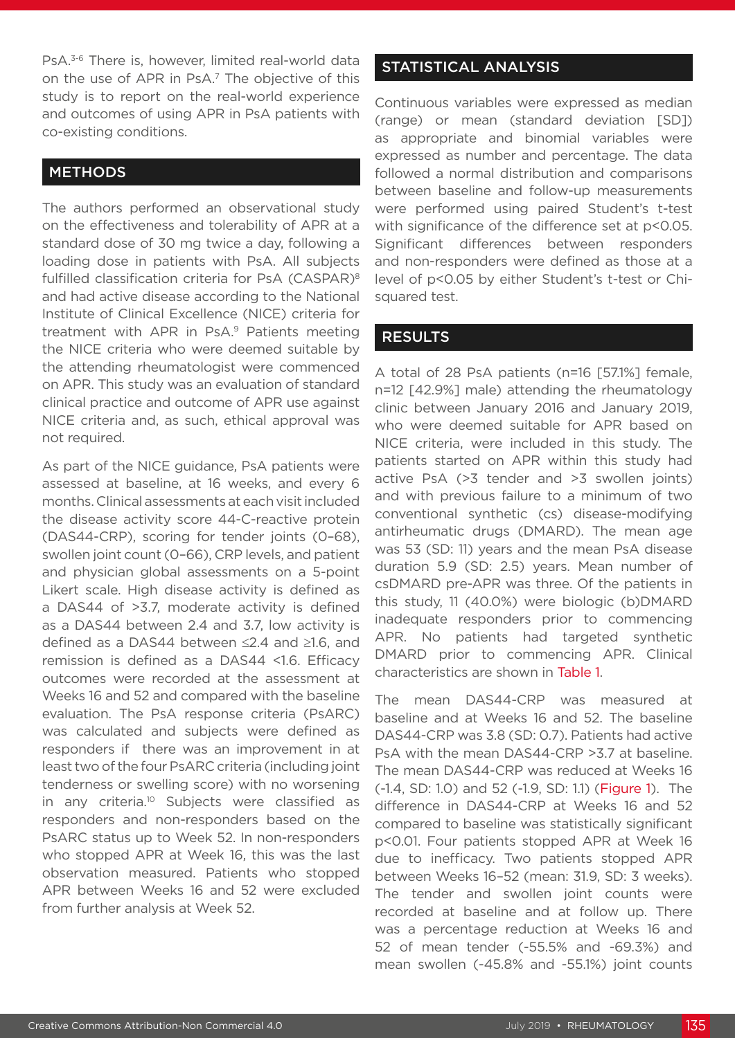PsA.<sup>3-6</sup> There is, however, limited real-world data on the use of APR in PsA.7 The objective of this study is to report on the real-world experience and outcomes of using APR in PsA patients with co-existing conditions.

### **METHODS**

The authors performed an observational study on the effectiveness and tolerability of APR at a standard dose of 30 mg twice a day, following a loading dose in patients with PsA. All subjects fulfilled classification criteria for PsA (CASPAR)<sup>8</sup> and had active disease according to the National Institute of Clinical Excellence (NICE) criteria for treatment with APR in PsA.<sup>9</sup> Patients meeting the NICE criteria who were deemed suitable by the attending rheumatologist were commenced on APR. This study was an evaluation of standard clinical practice and outcome of APR use against NICE criteria and, as such, ethical approval was not required.

As part of the NICE guidance, PsA patients were assessed at baseline, at 16 weeks, and every 6 months. Clinical assessments at each visit included the disease activity score 44-C-reactive protein (DAS44-CRP), scoring for tender joints (0–68), swollen joint count (0–66), CRP levels, and patient and physician global assessments on a 5-point Likert scale. High disease activity is defined as a DAS44 of >3.7, moderate activity is defined as a DAS44 between 2.4 and 3.7, low activity is defined as a DAS44 between ≤2.4 and ≥1.6, and remission is defined as a DAS44 <1.6. Efficacy outcomes were recorded at the assessment at Weeks 16 and 52 and compared with the baseline evaluation. The PsA response criteria (PsARC) was calculated and subjects were defined as responders if there was an improvement in at least two of the four PsARC criteria (including joint tenderness or swelling score) with no worsening in any criteria.<sup>10</sup> Subjects were classified as responders and non-responders based on the PsARC status up to Week 52. In non-responders who stopped APR at Week 16, this was the last observation measured. Patients who stopped APR between Weeks 16 and 52 were excluded from further analysis at Week 52.

## STATISTICAL ANALYSIS

Continuous variables were expressed as median (range) or mean (standard deviation [SD]) as appropriate and binomial variables were expressed as number and percentage. The data followed a normal distribution and comparisons between baseline and follow-up measurements were performed using paired Student's t-test with significance of the difference set at p<0.05. Significant differences between responders and non-responders were defined as those at a level of p<0.05 by either Student's t-test or Chisquared test.

#### RESULTS

A total of 28 PsA patients (n=16 [57.1%] female, n=12 [42.9%] male) attending the rheumatology clinic between January 2016 and January 2019, who were deemed suitable for APR based on NICE criteria, were included in this study. The patients started on APR within this study had active PsA (>3 tender and >3 swollen joints) and with previous failure to a minimum of two conventional synthetic (cs) disease-modifying antirheumatic drugs (DMARD). The mean age was 53 (SD: 11) years and the mean PsA disease duration 5.9 (SD: 2.5) years. Mean number of csDMARD pre-APR was three. Of the patients in this study, 11 (40.0%) were biologic (b)DMARD inadequate responders prior to commencing APR. No patients had targeted synthetic DMARD prior to commencing APR. Clinical characteristics are shown in Table 1.

The mean DAS44-CRP was measured at baseline and at Weeks 16 and 52. The baseline DAS44-CRP was 3.8 (SD: 0.7). Patients had active PsA with the mean DAS44-CRP >3.7 at baseline. The mean DAS44-CRP was reduced at Weeks 16 (-1.4, SD: 1.0) and 52 (-1.9, SD: 1.1) (Figure 1). The difference in DAS44-CRP at Weeks 16 and 52 compared to baseline was statistically significant p<0.01. Four patients stopped APR at Week 16 due to inefficacy. Two patients stopped APR between Weeks 16–52 (mean: 31.9, SD: 3 weeks). The tender and swollen joint counts were recorded at baseline and at follow up. There was a percentage reduction at Weeks 16 and 52 of mean tender (-55.5% and -69.3%) and mean swollen (-45.8% and -55.1%) joint counts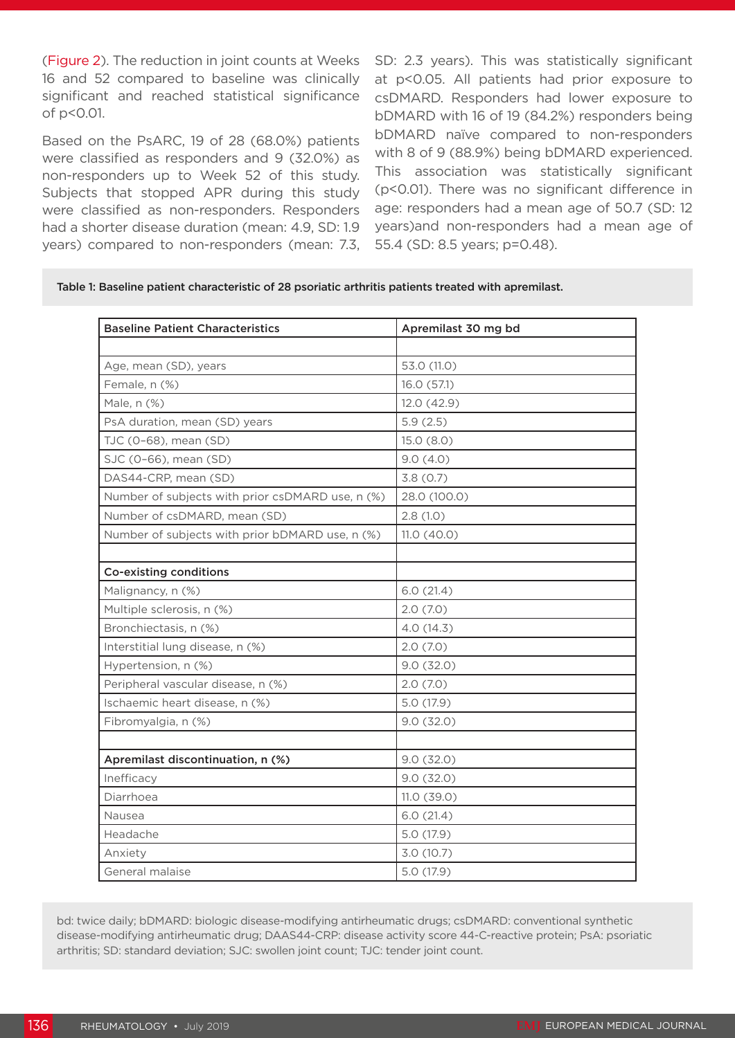(Figure 2). The reduction in joint counts at Weeks 16 and 52 compared to baseline was clinically significant and reached statistical significance of p<0.01.

Based on the PsARC, 19 of 28 (68.0%) patients were classified as responders and 9 (32.0%) as non-responders up to Week 52 of this study. Subjects that stopped APR during this study were classified as non-responders. Responders had a shorter disease duration (mean: 4.9, SD: 1.9 years) compared to non-responders (mean: 7.3, SD: 2.3 years). This was statistically significant at p<0.05. All patients had prior exposure to csDMARD. Responders had lower exposure to bDMARD with 16 of 19 (84.2%) responders being bDMARD naïve compared to non-responders with 8 of 9 (88.9%) being bDMARD experienced. This association was statistically significant (p<0.01). There was no significant difference in age: responders had a mean age of 50.7 (SD: 12 years)and non-responders had a mean age of 55.4 (SD: 8.5 years; p=0.48).

Table 1: Baseline patient characteristic of 28 psoriatic arthritis patients treated with apremilast.

| <b>Baseline Patient Characteristics</b>          | Apremilast 30 mg bd |
|--------------------------------------------------|---------------------|
|                                                  |                     |
| Age, mean (SD), years                            | 53.0 (11.0)         |
| Female, n (%)                                    | 16.0 (57.1)         |
| Male, n (%)                                      | 12.0 (42.9)         |
| PsA duration, mean (SD) years                    | 5.9(2.5)            |
| TJC (0-68), mean (SD)                            | 15.0(8.0)           |
| SJC (0-66), mean (SD)                            | 9.0(4.0)            |
| DAS44-CRP, mean (SD)                             | 3.8(0.7)            |
| Number of subjects with prior csDMARD use, n (%) | 28.0 (100.0)        |
| Number of csDMARD, mean (SD)                     | 2.8(1.0)            |
| Number of subjects with prior bDMARD use, n (%)  | 11.0(40.0)          |
|                                                  |                     |
| Co-existing conditions                           |                     |
| Malignancy, n (%)                                | 6.0(21.4)           |
| Multiple sclerosis, n (%)                        | 2.0(7.0)            |
| Bronchiectasis, n (%)                            | 4.0 (14.3)          |
| Interstitial lung disease, n (%)                 | 2.0(7.0)            |
| Hypertension, n (%)                              | 9.0(32.0)           |
| Peripheral vascular disease, n (%)               | 2.0(7.0)            |
| Ischaemic heart disease, n (%)                   | 5.0 (17.9)          |
| Fibromyalgia, n (%)                              | 9.0(32.0)           |
|                                                  |                     |
| Apremilast discontinuation, n (%)                | 9.0(32.0)           |
| Inefficacy                                       | 9.0(32.0)           |
| Diarrhoea                                        | 11.0(39.0)          |
| Nausea                                           | 6.0(21.4)           |
| Headache                                         | 5.0 (17.9)          |
| Anxiety                                          | 3.0(10.7)           |
| General malaise                                  | 5.0 (17.9)          |

bd: twice daily; bDMARD: biologic disease-modifying antirheumatic drugs; csDMARD: conventional synthetic disease-modifying antirheumatic drug; DAAS44-CRP: disease activity score 44-C-reactive protein; PsA: psoriatic arthritis; SD: standard deviation; SJC: swollen joint count; TJC: tender joint count.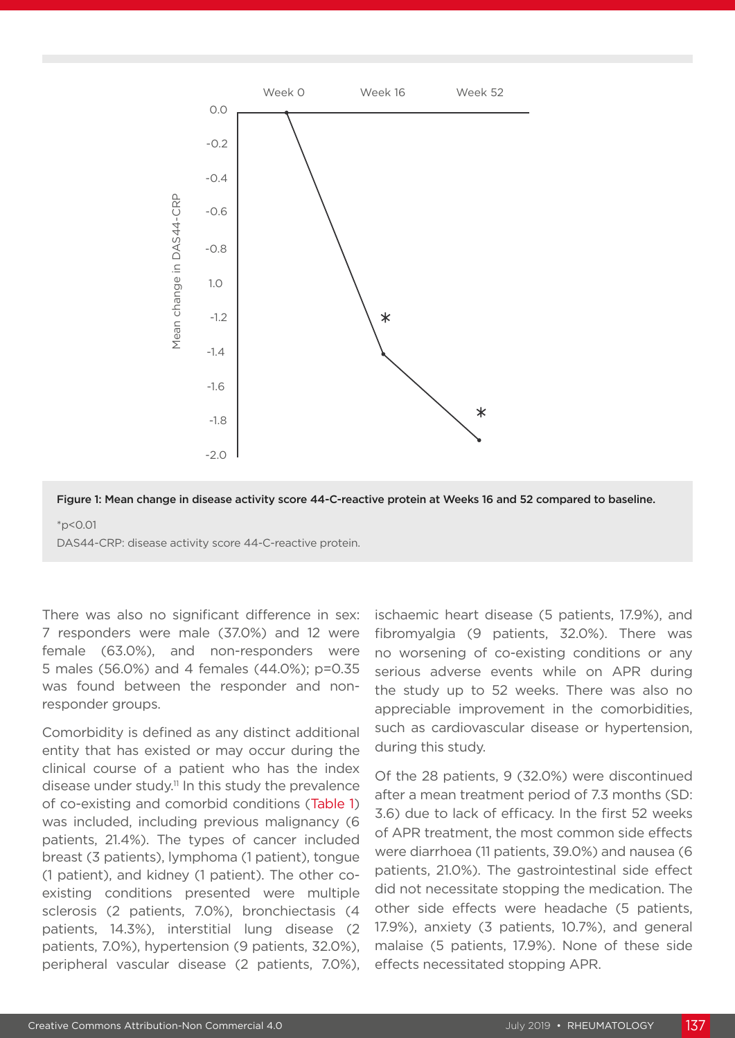

Figure 1: Mean change in disease activity score 44-C-reactive protein at Weeks 16 and 52 compared to baseline. \*p<0.01

DAS44-CRP: disease activity score 44-C-reactive protein.

There was also no significant difference in sex: 7 responders were male (37.0%) and 12 were female (63.0%), and non-responders were 5 males (56.0%) and 4 females (44.0%); p=0.35 was found between the responder and nonresponder groups.

Comorbidity is defined as any distinct additional entity that has existed or may occur during the clinical course of a patient who has the index disease under study.11 In this study the prevalence of co-existing and comorbid conditions (Table 1) was included, including previous malignancy (6 patients, 21.4%). The types of cancer included breast (3 patients), lymphoma (1 patient), tongue (1 patient), and kidney (1 patient). The other coexisting conditions presented were multiple sclerosis (2 patients, 7.0%), bronchiectasis (4 patients, 14.3%), interstitial lung disease (2 patients, 7.0%), hypertension (9 patients, 32.0%), peripheral vascular disease (2 patients, 7.0%), ischaemic heart disease (5 patients, 17.9%), and fibromyalgia (9 patients, 32.0%). There was no worsening of co-existing conditions or any serious adverse events while on APR during the study up to 52 weeks. There was also no appreciable improvement in the comorbidities, such as cardiovascular disease or hypertension, during this study.

Of the 28 patients, 9 (32.0%) were discontinued after a mean treatment period of 7.3 months (SD: 3.6) due to lack of efficacy. In the first 52 weeks of APR treatment, the most common side effects were diarrhoea (11 patients, 39.0%) and nausea (6 patients, 21.0%). The gastrointestinal side effect did not necessitate stopping the medication. The other side effects were headache (5 patients, 17.9%), anxiety (3 patients, 10.7%), and general malaise (5 patients, 17.9%). None of these side effects necessitated stopping APR.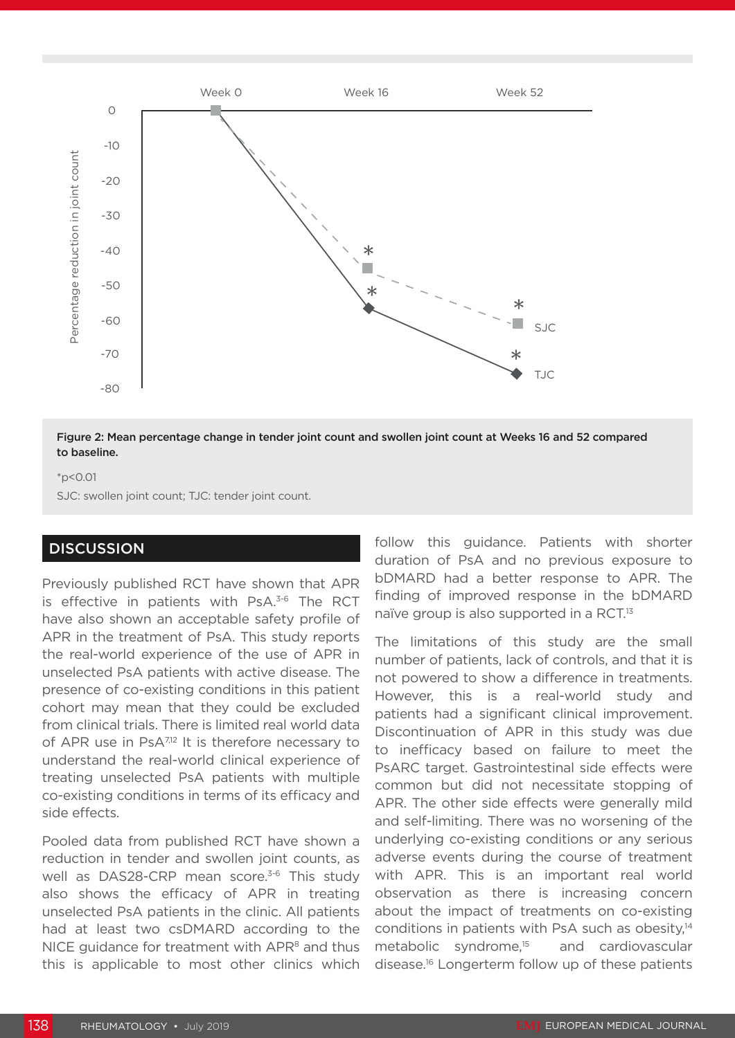

Figure 2: Mean percentage change in tender joint count and swollen joint count at Weeks 16 and 52 compared to baseline.

#### \*p<0.01

SJC: swollen joint count; TJC: tender joint count.

#### **DISCUSSION**

Previously published RCT have shown that APR is effective in patients with PsA.<sup>3-6</sup> The RCT have also shown an acceptable safety profile of APR in the treatment of PsA. This study reports the real-world experience of the use of APR in unselected PsA patients with active disease. The presence of co-existing conditions in this patient cohort may mean that they could be excluded from clinical trials. There is limited real world data of APR use in Ps $A^{7,12}$  It is therefore necessary to understand the real-world clinical experience of treating unselected PsA patients with multiple co-existing conditions in terms of its efficacy and side effects.

Pooled data from published RCT have shown a reduction in tender and swollen joint counts, as well as DAS28-CRP mean score.<sup>3-6</sup> This study also shows the efficacy of APR in treating unselected PsA patients in the clinic. All patients had at least two csDMARD according to the NICE guidance for treatment with  $APR<sup>8</sup>$  and thus this is applicable to most other clinics which

follow this guidance. Patients with shorter duration of PsA and no previous exposure to bDMARD had a better response to APR. The finding of improved response in the bDMARD naïve group is also supported in a RCT.<sup>13</sup>

The limitations of this study are the small number of patients, lack of controls, and that it is not powered to show a difference in treatments. However, this is a real-world study and patients had a significant clinical improvement. Discontinuation of APR in this study was due to inefficacy based on failure to meet the PsARC target. Gastrointestinal side effects were common but did not necessitate stopping of APR. The other side effects were generally mild and self-limiting. There was no worsening of the underlying co-existing conditions or any serious adverse events during the course of treatment with APR. This is an important real world observation as there is increasing concern about the impact of treatments on co-existing conditions in patients with PsA such as obesity.<sup>14</sup> metabolic syndrome,15 and cardiovascular disease.16 Longerterm follow up of these patients